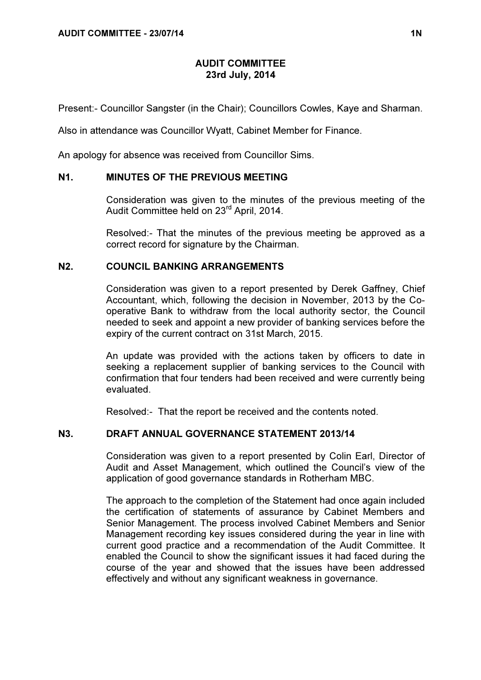# AUDIT COMMITTEE 23rd July, 2014

Present:- Councillor Sangster (in the Chair); Councillors Cowles, Kaye and Sharman.

Also in attendance was Councillor Wyatt, Cabinet Member for Finance.

An apology for absence was received from Councillor Sims.

#### N1. MINUTES OF THE PREVIOUS MEETING

 Consideration was given to the minutes of the previous meeting of the Audit Committee held on 23rd April, 2014.

Resolved:- That the minutes of the previous meeting be approved as a correct record for signature by the Chairman.

#### N2. COUNCIL BANKING ARRANGEMENTS

 Consideration was given to a report presented by Derek Gaffney, Chief Accountant, which, following the decision in November, 2013 by the Cooperative Bank to withdraw from the local authority sector, the Council needed to seek and appoint a new provider of banking services before the expiry of the current contract on 31st March, 2015.

An update was provided with the actions taken by officers to date in seeking a replacement supplier of banking services to the Council with confirmation that four tenders had been received and were currently being evaluated.

Resolved:- That the report be received and the contents noted.

### N3. DRAFT ANNUAL GOVERNANCE STATEMENT 2013/14

 Consideration was given to a report presented by Colin Earl, Director of Audit and Asset Management, which outlined the Council's view of the application of good governance standards in Rotherham MBC.

The approach to the completion of the Statement had once again included the certification of statements of assurance by Cabinet Members and Senior Management. The process involved Cabinet Members and Senior Management recording key issues considered during the year in line with current good practice and a recommendation of the Audit Committee. It enabled the Council to show the significant issues it had faced during the course of the year and showed that the issues have been addressed effectively and without any significant weakness in governance.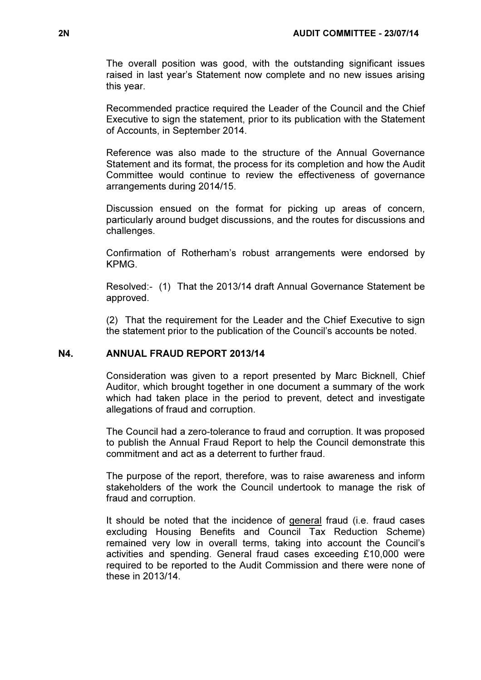The overall position was good, with the outstanding significant issues raised in last year's Statement now complete and no new issues arising this year.

Recommended practice required the Leader of the Council and the Chief Executive to sign the statement, prior to its publication with the Statement of Accounts, in September 2014.

Reference was also made to the structure of the Annual Governance Statement and its format, the process for its completion and how the Audit Committee would continue to review the effectiveness of governance arrangements during 2014/15.

Discussion ensued on the format for picking up areas of concern, particularly around budget discussions, and the routes for discussions and challenges.

Confirmation of Rotherham's robust arrangements were endorsed by KPMG.

Resolved:- (1) That the 2013/14 draft Annual Governance Statement be approved.

(2) That the requirement for the Leader and the Chief Executive to sign the statement prior to the publication of the Council's accounts be noted.

### N4. ANNUAL FRAUD REPORT 2013/14

 Consideration was given to a report presented by Marc Bicknell, Chief Auditor, which brought together in one document a summary of the work which had taken place in the period to prevent, detect and investigate allegations of fraud and corruption.

The Council had a zero-tolerance to fraud and corruption. It was proposed to publish the Annual Fraud Report to help the Council demonstrate this commitment and act as a deterrent to further fraud.

The purpose of the report, therefore, was to raise awareness and inform stakeholders of the work the Council undertook to manage the risk of fraud and corruption.

It should be noted that the incidence of general fraud (i.e. fraud cases excluding Housing Benefits and Council Tax Reduction Scheme) remained very low in overall terms, taking into account the Council's activities and spending. General fraud cases exceeding £10,000 were required to be reported to the Audit Commission and there were none of these in 2013/14.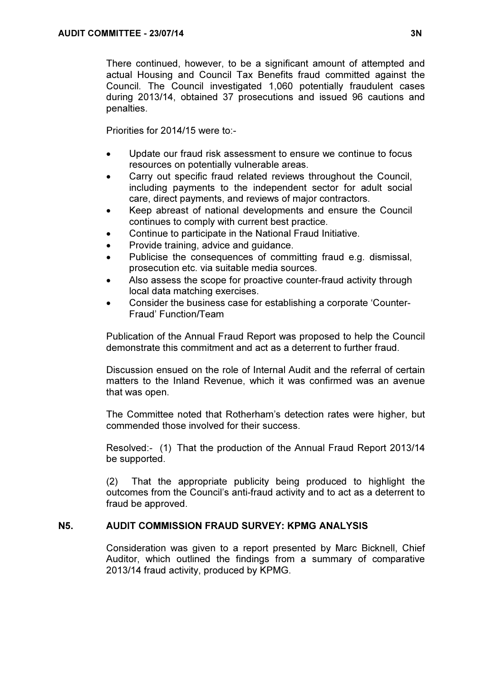There continued, however, to be a significant amount of attempted and actual Housing and Council Tax Benefits fraud committed against the Council. The Council investigated 1,060 potentially fraudulent cases during 2013/14, obtained 37 prosecutions and issued 96 cautions and penalties.

Priorities for 2014/15 were to:-

- Update our fraud risk assessment to ensure we continue to focus resources on potentially vulnerable areas.
- Carry out specific fraud related reviews throughout the Council, including payments to the independent sector for adult social care, direct payments, and reviews of major contractors.
- Keep abreast of national developments and ensure the Council continues to comply with current best practice.
- Continue to participate in the National Fraud Initiative.
- Provide training, advice and guidance.
- Publicise the consequences of committing fraud e.g. dismissal, prosecution etc. via suitable media sources.
- Also assess the scope for proactive counter-fraud activity through local data matching exercises.
- Consider the business case for establishing a corporate 'Counter-Fraud' Function/Team

Publication of the Annual Fraud Report was proposed to help the Council demonstrate this commitment and act as a deterrent to further fraud.

Discussion ensued on the role of Internal Audit and the referral of certain matters to the Inland Revenue, which it was confirmed was an avenue that was open.

The Committee noted that Rotherham's detection rates were higher, but commended those involved for their success.

Resolved:- (1) That the production of the Annual Fraud Report 2013/14 be supported.

(2) That the appropriate publicity being produced to highlight the outcomes from the Council's anti-fraud activity and to act as a deterrent to fraud be approved.

# N5. AUDIT COMMISSION FRAUD SURVEY: KPMG ANALYSIS

 Consideration was given to a report presented by Marc Bicknell, Chief Auditor, which outlined the findings from a summary of comparative 2013/14 fraud activity, produced by KPMG.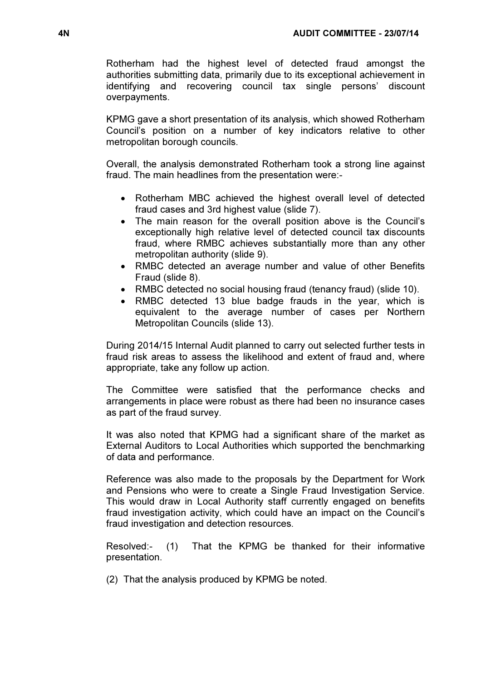Rotherham had the highest level of detected fraud amongst the authorities submitting data, primarily due to its exceptional achievement in identifying and recovering council tax single persons' discount overpayments.

KPMG gave a short presentation of its analysis, which showed Rotherham Council's position on a number of key indicators relative to other metropolitan borough councils.

Overall, the analysis demonstrated Rotherham took a strong line against fraud. The main headlines from the presentation were:-

- Rotherham MBC achieved the highest overall level of detected fraud cases and 3rd highest value (slide 7).
- The main reason for the overall position above is the Council's exceptionally high relative level of detected council tax discounts fraud, where RMBC achieves substantially more than any other metropolitan authority (slide 9).
- RMBC detected an average number and value of other Benefits Fraud (slide 8).
- RMBC detected no social housing fraud (tenancy fraud) (slide 10).
- RMBC detected 13 blue badge frauds in the year, which is equivalent to the average number of cases per Northern Metropolitan Councils (slide 13).

During 2014/15 Internal Audit planned to carry out selected further tests in fraud risk areas to assess the likelihood and extent of fraud and, where appropriate, take any follow up action.

The Committee were satisfied that the performance checks and arrangements in place were robust as there had been no insurance cases as part of the fraud survey.

It was also noted that KPMG had a significant share of the market as External Auditors to Local Authorities which supported the benchmarking of data and performance.

Reference was also made to the proposals by the Department for Work and Pensions who were to create a Single Fraud Investigation Service. This would draw in Local Authority staff currently engaged on benefits fraud investigation activity, which could have an impact on the Council's fraud investigation and detection resources.

Resolved:- (1) That the KPMG be thanked for their informative presentation.

(2) That the analysis produced by KPMG be noted.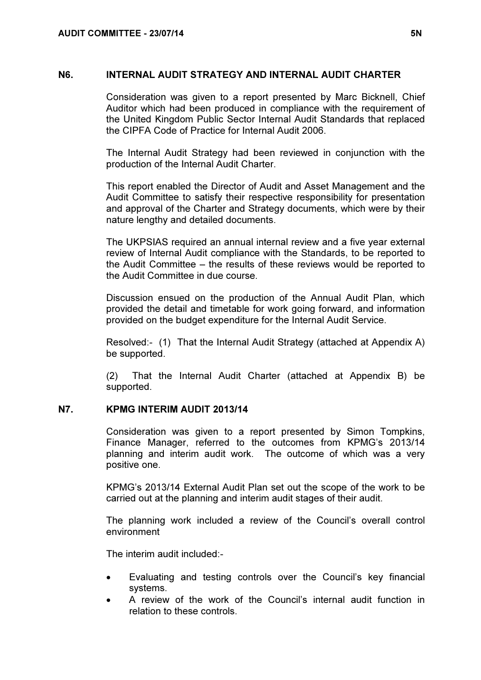### N6. INTERNAL AUDIT STRATEGY AND INTERNAL AUDIT CHARTER

 Consideration was given to a report presented by Marc Bicknell, Chief Auditor which had been produced in compliance with the requirement of the United Kingdom Public Sector Internal Audit Standards that replaced the CIPFA Code of Practice for Internal Audit 2006.

The Internal Audit Strategy had been reviewed in conjunction with the production of the Internal Audit Charter.

This report enabled the Director of Audit and Asset Management and the Audit Committee to satisfy their respective responsibility for presentation and approval of the Charter and Strategy documents, which were by their nature lengthy and detailed documents.

The UKPSIAS required an annual internal review and a five year external review of Internal Audit compliance with the Standards, to be reported to the Audit Committee – the results of these reviews would be reported to the Audit Committee in due course.

Discussion ensued on the production of the Annual Audit Plan, which provided the detail and timetable for work going forward, and information provided on the budget expenditure for the Internal Audit Service.

Resolved:- (1) That the Internal Audit Strategy (attached at Appendix A) be supported.

(2) That the Internal Audit Charter (attached at Appendix B) be supported.

# N7. KPMG INTERIM AUDIT 2013/14

 Consideration was given to a report presented by Simon Tompkins, Finance Manager, referred to the outcomes from KPMG's 2013/14 planning and interim audit work. The outcome of which was a very positive one.

KPMG's 2013/14 External Audit Plan set out the scope of the work to be carried out at the planning and interim audit stages of their audit.

The planning work included a review of the Council's overall control environment

The interim audit included:-

- Evaluating and testing controls over the Council's key financial systems.
- A review of the work of the Council's internal audit function in relation to these controls.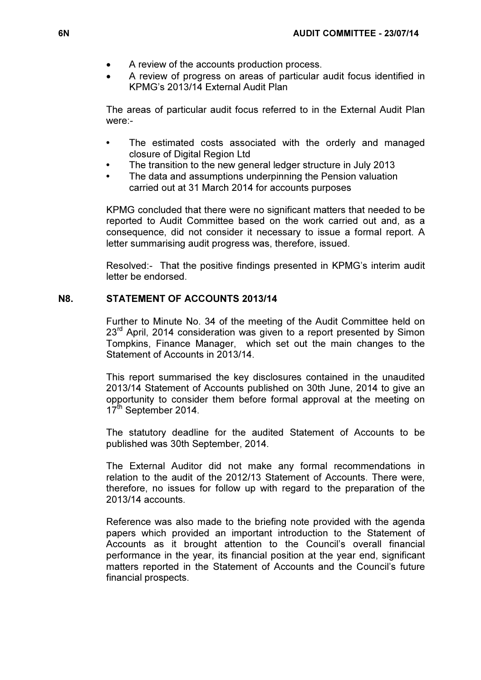- A review of the accounts production process.
- A review of progress on areas of particular audit focus identified in KPMG's 2013/14 External Audit Plan

The areas of particular audit focus referred to in the External Audit Plan were:-

- The estimated costs associated with the orderly and managed closure of Digital Region Ltd
- The transition to the new general ledger structure in July 2013
- The data and assumptions underpinning the Pension valuation carried out at 31 March 2014 for accounts purposes

KPMG concluded that there were no significant matters that needed to be reported to Audit Committee based on the work carried out and, as a consequence, did not consider it necessary to issue a formal report. A letter summarising audit progress was, therefore, issued.

Resolved:- That the positive findings presented in KPMG's interim audit letter be endorsed.

# N8. STATEMENT OF ACCOUNTS 2013/14

 Further to Minute No. 34 of the meeting of the Audit Committee held on 23<sup>rd</sup> April, 2014 consideration was given to a report presented by Simon Tompkins, Finance Manager, which set out the main changes to the Statement of Accounts in 2013/14.

This report summarised the key disclosures contained in the unaudited 2013/14 Statement of Accounts published on 30th June, 2014 to give an opportunity to consider them before formal approval at the meeting on 17<sup>th</sup> September 2014.

The statutory deadline for the audited Statement of Accounts to be published was 30th September, 2014.

The External Auditor did not make any formal recommendations in relation to the audit of the 2012/13 Statement of Accounts. There were, therefore, no issues for follow up with regard to the preparation of the 2013/14 accounts.

Reference was also made to the briefing note provided with the agenda papers which provided an important introduction to the Statement of Accounts as it brought attention to the Council's overall financial performance in the year, its financial position at the year end, significant matters reported in the Statement of Accounts and the Council's future financial prospects.